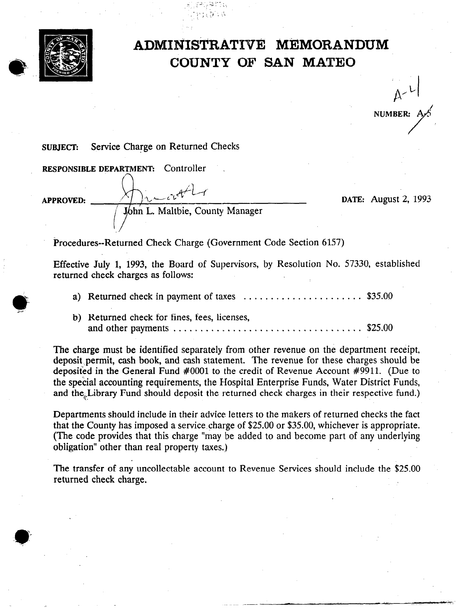

## A DMINISTRATIVE MEMORANDUM COUNTY OF SAN MATEO

 $A - L$ **NUMBER:** 

## SUBJECT: Service Charge on Returned Checks

RESPONSIBLE DEPARTMENT: Controller APPROVED:  $\sqrt{\frac{1}{10}}$  by  $\frac{1}{20}$  by  $\frac{1}{20}$  by  $\frac{1}{20}$  by  $\frac{1}{20}$  by  $\frac{1}{20}$  by  $\frac{1}{20}$  by  $\frac{1}{20}$  by  $\frac{1}{20}$  by  $\frac{1}{20}$  by  $\frac{1}{20}$  by  $\frac{1}{20}$  by  $\frac{1}{20}$  by  $\frac{1}{20}$  by  $\frac{1}{20}$  by

..\_ ~..:."- , . ; : ; < :-,< ,'.

Procedures--Returned Check Charge (Government Code Section 6157)

Effective July 1, 1993, the Board of Supervisors, by Resolution No. 57330, established returned check charges as follows:

- a) Returned check in payment of taxes ............................ \$35.00
- b) Returned check for fines, fees, licenses, and other payments  $\dots \dots \dots \dots \dots \dots \dots \dots \dots \dots \dots \dots \dots \dots \$  \$25.00

The charge must be identified separately from other revenue on the department receipt, deposit permit, cash book, and cash statement. The revenue for these charges should be deposited in the General Fund #OOOl to the credit of Revenue Account #9911. (Due to the special accounting requirements, the Hospital. Enterprise Funds, Water District Funds, and the Library Fund should deposit the returned check charges in their respective fund.)

Departments should include in their advice letters to the makers of returned checks the fact that the County has imposed a service charge of \$25.00 or \$35.00, whichever is appropriate. (The code provides that this charge "may be added to and become part of any underlying obligation" other than real property taxes.)

The transfer of any uncollectable account to Revenue Services should include the \$25.00 returned check charge.